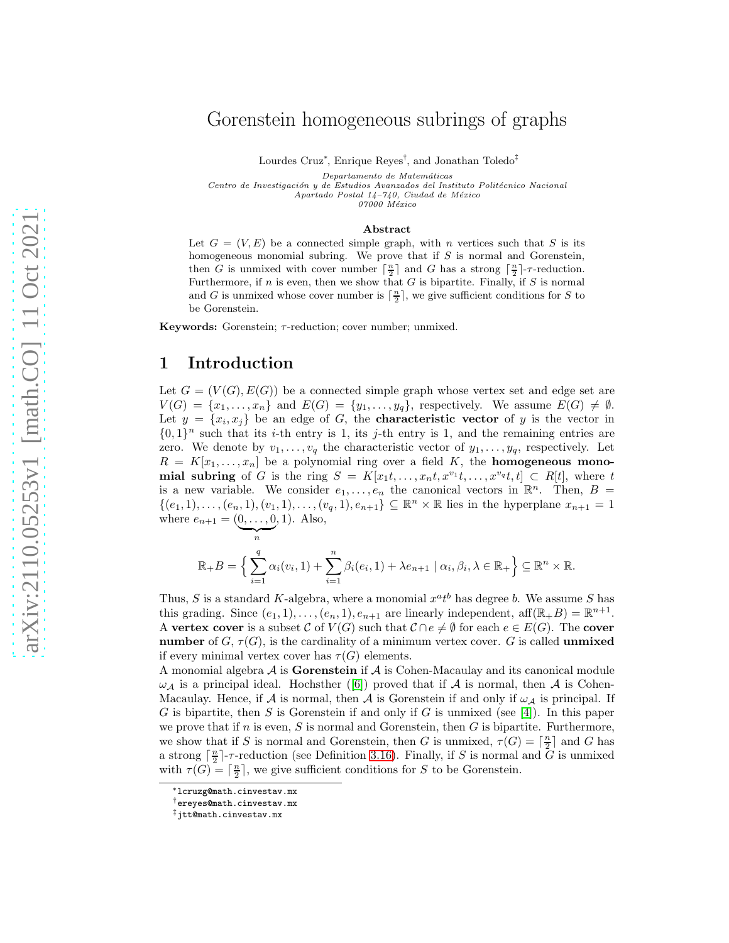# Gorenstein homogeneous subrings of graphs

Lourdes Cruz<sup>∗</sup> , Enrique Reyes† , and Jonathan Toledo‡

Departamento de Matemáticas

Centro de Investigación y de Estudios Avanzados del Instituto Politécnico Nacional  $A$ partado Postal 14-740, Ciudad de México

07000 México

#### Abstract

Let  $G = (V, E)$  be a connected simple graph, with n vertices such that S is its homogeneous monomial subring. We prove that if  $S$  is normal and Gorenstein, then G is unmixed with cover number  $\lceil \frac{n}{2} \rceil$  and G has a strong  $\lceil \frac{n}{2} \rceil$ -r-reduction. Furthermore, if n is even, then we show that  $G$  is bipartite. Finally, if  $S$  is normal and G is unmixed whose cover number is  $\lceil \frac{n}{2} \rceil$ , we give sufficient conditions for S to be Gorenstein.

Keywords: Gorenstein;  $\tau$ -reduction; cover number; unmixed.

### 1 Introduction

 $\overbrace{\phantom{aaaaa}}^n$ 

Let  $G = (V(G), E(G))$  be a connected simple graph whose vertex set and edge set are  $V(G) = \{x_1, \ldots, x_n\}$  and  $E(G) = \{y_1, \ldots, y_q\}$ , respectively. We assume  $E(G) \neq \emptyset$ . Let  $y = \{x_i, x_j\}$  be an edge of G, the **characteristic vector** of y is the vector in  $\{0,1\}^n$  such that its *i*-th entry is 1, its *j*-th entry is 1, and the remaining entries are zero. We denote by  $v_1, \ldots, v_q$  the characteristic vector of  $y_1, \ldots, y_q$ , respectively. Let  $R = K[x_1, \ldots, x_n]$  be a polynomial ring over a field K, the **homogeneous mono**mial subring of G is the ring  $S = K[x_1t, \ldots, x_nt, x^{v_1}t, \ldots, x^{v_q}t, t] \subset R[t]$ , where t is a new variable. We consider  $e_1, \ldots, e_n$  the canonical vectors in  $\mathbb{R}^n$ . Then,  $B =$  $\{(e_1, 1), \ldots, (e_n, 1), (v_1, 1), \ldots, (v_q, 1), e_{n+1}\} \subseteq \mathbb{R}^n \times \mathbb{R}$  lies in the hyperplane  $x_{n+1} = 1$ where  $e_{n+1} = (0, ..., 0)$ , 1). Also,

$$
\mathbb{R}_{+}B = \left\{ \sum_{i=1}^{q} \alpha_{i}(v_{i}, 1) + \sum_{i=1}^{n} \beta_{i}(e_{i}, 1) + \lambda e_{n+1} \mid \alpha_{i}, \beta_{i}, \lambda \in \mathbb{R}_{+} \right\} \subseteq \mathbb{R}^{n} \times \mathbb{R}.
$$

Thus, S is a standard K-algebra, where a monomial  $x^a t^b$  has degree b. We assume S has this grading. Since  $(e_1, 1), \ldots, (e_n, 1), e_{n+1}$  are linearly independent, aff $(\mathbb{R}_+ B) = \mathbb{R}^{n+1}$ . A vertex cover is a subset C of  $V(G)$  such that  $C \cap e \neq \emptyset$  for each  $e \in E(G)$ . The cover number of  $G, \tau(G)$ , is the cardinality of a minimum vertex cover. G is called unmixed if every minimal vertex cover has  $\tau(G)$  elements.

A monomial algebra  $A$  is Gorenstein if  $A$  is Cohen-Macaulay and its canonical module  $\omega_{\mathcal{A}}$  is a principal ideal. Hochsther ([\[6\]](#page-9-0)) proved that if  $\mathcal{A}$  is normal, then  $\mathcal{A}$  is Cohen-Macaulay. Hence, if A is normal, then A is Gorenstein if and only if  $\omega_A$  is principal. If G is bipartite, then S is Gorenstein if and only if G is unmixed (see [\[4\]](#page-9-1)). In this paper we prove that if n is even, S is normal and Gorenstein, then  $G$  is bipartite. Furthermore, we show that if S is normal and Gorenstein, then G is unmixed,  $\tau(G) = \lceil \frac{n}{2} \rceil$  and G has a strong  $\lceil \frac{n}{2} \rceil$ -*r*-reduction (see Definition [3.16\)](#page-6-0). Finally, if S is normal and  $\bar{G}$  is unmixed with  $\tau(G) = \lceil \frac{n}{2} \rceil$ , we give sufficient conditions for S to be Gorenstein.

<sup>∗</sup>lcruzg@math.cinvestav.mx

<sup>†</sup>ereyes@math.cinvestav.mx

<sup>‡</sup>jtt@math.cinvestav.mx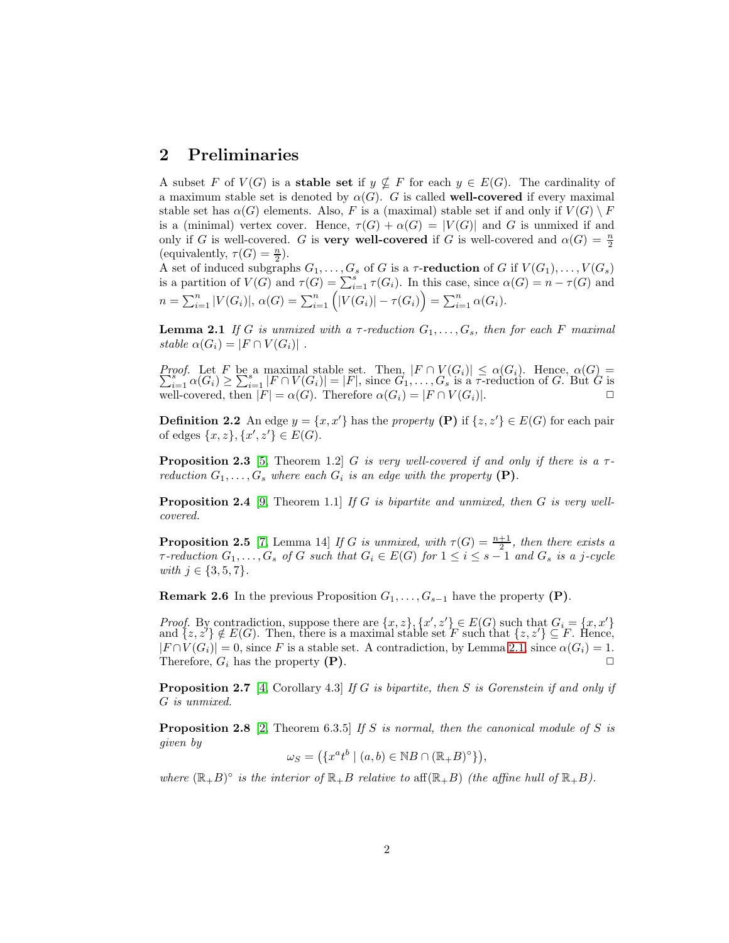#### 2 Preliminaries

A subset F of  $V(G)$  is a **stable set** if  $y \not\subseteq F$  for each  $y \in E(G)$ . The cardinality of a maximum stable set is denoted by  $\alpha(G)$ . G is called well-covered if every maximal stable set has  $\alpha(G)$  elements. Also, F is a (maximal) stable set if and only if  $V(G) \setminus F$ is a (minimal) vertex cover. Hence,  $\tau(G) + \alpha(G) = |V(G)|$  and G is unmixed if and only if G is well-covered. G is **very well-covered** if G is well-covered and  $\alpha(G) = \frac{n}{2}$ (equivalently,  $\tau(G) = \frac{n}{2}$ ).

A set of induced subgraphs  $G_1, \ldots, G_s$  of G is a  $\tau$ -reduction of G if  $V(G_1), \ldots, V(G_s)$ is a partition of  $V(G)$  and  $\tau(G) = \sum_{i=1}^{s} \tau(G_i)$ . In this case, since  $\alpha(G) = n - \tau(G)$  and  $n = \sum_{i=1}^{n} |V(G_i)|, \, \alpha(G) = \sum_{i=1}^{n} (|V(G_i)| - \tau(G_i)) = \sum_{i=1}^{n} \alpha(G_i).$ 

<span id="page-1-0"></span>**Lemma 2.1** If G is unmixed with a  $\tau$ -reduction  $G_1, \ldots, G_s$ , then for each F maximal stable  $\alpha(G_i) = |F \cap V(G_i)|$ .

*Proof.* Let F be a maximal stable set. Then,  $|F \cap V(G_i)| \leq \alpha(G_i)$ . Hence,  $\alpha(G) = \sum_{i=1}^{s} \alpha(G_i) > \sum_{i=1}^{s} |F \cap V(G_i)| = |F|$ , since  $G_1, \ldots, G_s$  is a  $\tau$ -reduction of G. But G is  $\sum_{i=1}^{s} \alpha(G_i) \geq \sum_{i=1}^{s} |F \cap V(G_i)| = |F|$ , since  $G_1, \ldots, G_s$  is a  $\tau$ -reduction of G. But G is well-covered, then  $|F| = \alpha(G)$ . Therefore  $\alpha(G_i) = |F \cap V(G_i)|$ .

**Definition 2.2** An edge  $y = \{x, x'\}$  has the property (P) if  $\{z, z'\} \in E(G)$  for each pair of edges  $\{x, z\}, \{x', z'\} \in E(G)$ .

<span id="page-1-2"></span>**Proposition 2.3** [\[5,](#page-9-2) Theorem 1.2] G is very well-covered if and only if there is a  $\tau$ reduction  $G_1, \ldots, G_s$  where each  $G_i$  is an edge with the property  $(P)$ .

<span id="page-1-4"></span>**Proposition 2.4** [\[9,](#page-9-3) Theorem 1.1] If G is bipartite and unmixed, then G is very wellcovered.

<span id="page-1-5"></span>**Proposition 2.5** [\[7,](#page-9-4) Lemma 14] If G is unmixed, with  $\tau(G) = \frac{n+1}{2}$ , then there exists a  $\tau$ -reduction  $G_1, \ldots, G_s$  of G such that  $G_i \in E(G)$  for  $1 \leq i \leq s-1$  and  $G_s$  is a j-cycle with  $j \in \{3, 5, 7\}$ .

**Remark 2.6** In the previous Proposition  $G_1, \ldots, G_{s-1}$  have the property (P).

*Proof.* By contradiction, suppose there are  $\{x, z\}$ ,  $\{x', z'\} \in E(G)$  such that  $G_i = \{x, x'\}$ and  ${z, z'} \notin E(G)$ . Then, there is a maximal stable set F such that  ${z, z'} \subseteq F$ . Hence,  $|F \cap V(G_i)| = 0$ , since F is a stable set. A contradiction, by Lemma [2.1,](#page-1-0) since  $\alpha(G_i) = 1$ . Therefore,  $G_i$  has the property  $(P)$ .

<span id="page-1-3"></span>**Proposition 2.7** [\[4,](#page-9-1) Corollary 4.3] If G is bipartite, then S is Gorenstein if and only if G is unmixed.

<span id="page-1-1"></span>**Proposition 2.8** [\[2,](#page-8-0) Theorem 6.3.5] If S is normal, then the canonical module of S is given by

 $\omega_S = (\{x^a t^b \mid (a, b) \in \mathbb{N}B \cap (\mathbb{R}_+ B)^\circ\}),$ 

where  $(\mathbb{R}_+B)^\circ$  is the interior of  $\mathbb{R}_+B$  relative to aff $(\mathbb{R}_+B)$  (the affine hull of  $\mathbb{R}_+B$ ).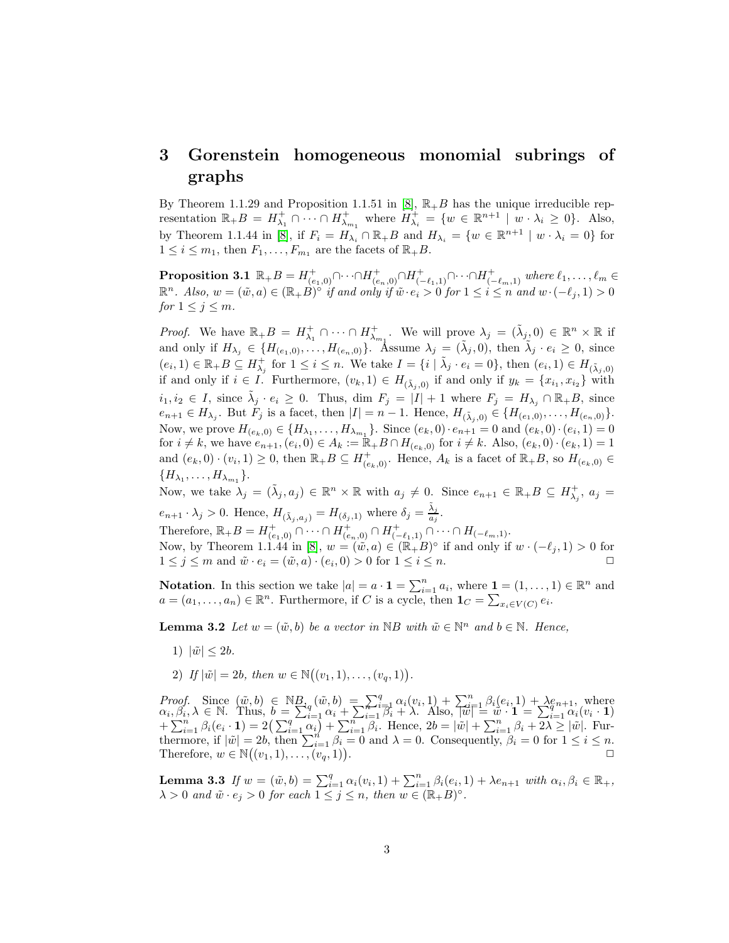## 3 Gorenstein homogeneous monomial subrings of graphs

By Theorem 1.1.29 and Proposition 1.1.51 in [\[8\]](#page-9-5),  $\mathbb{R}_{+}$  has the unique irreducible representation  $\mathbb{R}_+ B = H^+_{\lambda_1} \cap \cdots \cap H^+_{\lambda_{m_1}}$  where  $H^+_{\lambda_i} = \{w \in \mathbb{R}^{n+1} \mid w \cdot \lambda_i \geq 0\}$ . Also, by Theorem 1.1.44 in [\[8\]](#page-9-5), if  $F_i = H_{\lambda_i} \cap \mathbb{R}_+ B$  and  $H_{\lambda_i} = \{w \in \mathbb{R}^{n+1} \mid w \cdot \lambda_i = 0\}$  for  $1 \leq i \leq m_1$ , then  $F_1, \ldots, F_{m_1}$  are the facets of  $\mathbb{R}_+ B$ .

<span id="page-2-0"></span> $\textbf{Proposition 3.1 }\mathbb{R}_{+}B=H_{(e_1,0)}^+\cap\cdots\cap H_{(e_n,0)}^+\cap H_{(-\ell_1,1)}^+\cap\cdots\cap H_{(-\ell_m,1)}^+$  where  $\ell_1,\ldots,\ell_m\in\mathbb{C}$  $\mathbb{R}^n$ . Also,  $w = (\tilde{w}, a) \in (\mathbb{R}_+ B)^{\circ}$  if and only if  $\tilde{w} \cdot e_i > 0$  for  $1 \leq i \leq n$  and  $w \cdot (-\ell_j, 1) > 0$ for  $1 \leq j \leq m$ .

*Proof.* We have  $\mathbb{R}_+ B = H_{\lambda_1}^+ \cap \cdots \cap H_{\lambda_{m_1}}^+$ . We will prove  $\lambda_j = (\tilde{\lambda}_j, 0) \in \mathbb{R}^n \times \mathbb{R}$  if and only if  $H_{\lambda_j} \in \{H_{(e_1,0)},\ldots,H_{(e_n,0)}\}$ . Assume  $\lambda_j = (\tilde{\lambda}_j,0)$ , then  $\tilde{\lambda}_j \cdot e_i \geq 0$ , since  $(e_i, 1) \in \mathbb{R}_+ B \subseteq H_{\lambda_j}^+$  for  $1 \leq i \leq n$ . We take  $I = \{i \mid \tilde{\lambda}_j \cdot e_i = 0\}$ , then  $(e_i, 1) \in H_{(\tilde{\lambda}_j, 0)}$ if and only if  $i \in I$ . Furthermore,  $(v_k, 1) \in H_{(\tilde{\lambda}_j, 0)}$  if and only if  $y_k = \{x_{i_1}, x_{i_2}\}$  with  $i_1, i_2 \in I$ , since  $\tilde{\lambda}_j \cdot e_i \geq 0$ . Thus, dim  $F_j = |I| + 1$  where  $F_j = H_{\lambda_j} \cap \mathbb{R}_+ B$ , since  $e_{n+1} \in H_{\lambda_j}$ . But  $F_j$  is a facet, then  $|I| = n - 1$ . Hence,  $H_{(\tilde{\lambda}_j,0)} \in \{H_{(e_1,0)},\ldots,H_{(e_n,0)}\}$ . Now, we prove  $H_{(e_k,0)} \in \{H_{\lambda_1}, \ldots, H_{\lambda_{m_1}}\}$ . Since  $(e_k,0) \cdot e_{n+1} = 0$  and  $(e_k,0) \cdot (e_i,1) = 0$ for  $i \neq k$ , we have  $e_{n+1}, (e_i, 0) \in A_k := \mathbb{R}_+ B \cap H_{(e_k, 0)}$  for  $i \neq k$ . Also,  $(e_k, 0) \cdot (e_k, 1) = 1$ and  $(e_k, 0) \cdot (v_i, 1) \ge 0$ , then  $\mathbb{R}_+ B \subseteq H^+_{(e_k, 0)}$ . Hence,  $A_k$  is a facet of  $\mathbb{R}_+ B$ , so  $H_{(e_k, 0)} \in$  ${H_{\lambda_1},\ldots,H_{\lambda_{m_1}}}$ .

Now, we take  $\lambda_j = (\tilde{\lambda}_j, a_j) \in \mathbb{R}^n \times \mathbb{R}$  with  $a_j \neq 0$ . Since  $e_{n+1} \in \mathbb{R} + B \subseteq H^+_{\lambda_j}$ ,  $a_j =$  $e_{n+1} \cdot \lambda_j > 0$ . Hence,  $H_{(\tilde{\lambda}_j, a_j)} = H_{(\delta_j, 1)}$  where  $\delta_j = \frac{\tilde{\lambda}_j}{a_j}$  $\frac{\lambda_j}{a_j}$ .

Therefore,  $\mathbb{R}_+ B = H^+_{(e_1,0)} \cap \cdots \cap H^+_{(e_n,0)} \cap H^+_{(-\ell_1,1)} \cap \cdots \cap H^-_{(-\ell_m,1)}.$ Now, by Theorem 1.1.44 in [\[8\]](#page-9-5),  $w = (\tilde{w}, a) \in (\mathbb{R}_{+}B)^{\circ}$  if and only if  $w \cdot (-\ell_j, 1) > 0$  for  $1 \leq j \leq m$  and  $\tilde{w} \cdot e_i = (\tilde{w}, a) \cdot (e_i, 0) > 0$  for  $1 \leq i \leq n$ .

<span id="page-2-2"></span>**Notation**. In this section we take  $|a| = a \cdot \mathbf{1} = \sum_{i=1}^{n} a_i$ , where  $\mathbf{1} = (1, \ldots, 1) \in \mathbb{R}^n$  and  $a = (a_1, \ldots, a_n) \in \mathbb{R}^n$ . Furthermore, if C is a cycle, then  $\mathbf{1}_C = \sum_{x_i \in V(C)} e_i$ .

**Lemma 3.2** Let  $w = (\tilde{w}, b)$  be a vector in NB with  $\tilde{w} \in \mathbb{N}^n$  and  $b \in \mathbb{N}$ . Hence,

- 1)  $|\tilde{w}| < 2b$ .
- 2) If  $|\tilde{w}| = 2b$ , then  $w \in \mathbb{N}((v_1, 1), \dots, (v_q, 1)).$

Proof. Since  $(\tilde{w}, b) \in \mathbb{N}_{\mathcal{B}_q}^B(\tilde{w}, b) = \sum_{i=1}^q \alpha_i (v_i, 1) + \sum_{i=1}^n \beta_i (e_i, 1) + \lambda e_{n+1}$ , where  $\alpha_i, \beta_i, \lambda \in \mathbb{N}$ . Thus,  $b = \sum_{i=1}^q \alpha_i + \sum_{i=1}^{n} \beta_i + \lambda$ . Also,  $|\tilde{w}| = \tilde{w} \cdot \mathbf{1} = \sum_{i=1}^{q} \alpha_i (v_i - \mathbf{1})$  $+\sum_{i=1}^n \beta_i (e_i \cdot \mathbf{1}) = 2 \left( \sum_{i=1}^q \alpha_i \right) + \sum_{i=1}^n \beta_i$ . Hence,  $2b = |\tilde{w}| + \sum_{i=1}^n \beta_i + 2\lambda \ge |\tilde{w}|$ . Furthermore, if  $|\tilde{w}| = 2b$ , then  $\sum_{i=1}^{n} \beta_i = 0$  and  $\lambda = 0$ . Consequently,  $\beta_i = 0$  for  $1 \le i \le n$ . Therefore,  $w \in \mathbb{N}((v_1,1),\ldots,(v_q,1))$ .  $\Box$ 

<span id="page-2-1"></span>**Lemma 3.3** If  $w = (\tilde{w}, b) = \sum_{i=1}^{q} \alpha_i(v_i, 1) + \sum_{i=1}^{n} \beta_i(e_i, 1) + \lambda e_{n+1}$  with  $\alpha_i, \beta_i \in \mathbb{R}_+$ ,  $\lambda > 0$  and  $\tilde{w} \cdot e_j > 0$  for each  $1 \leq j \leq n$ , then  $w \in (\mathbb{R} + B)^\circ$ .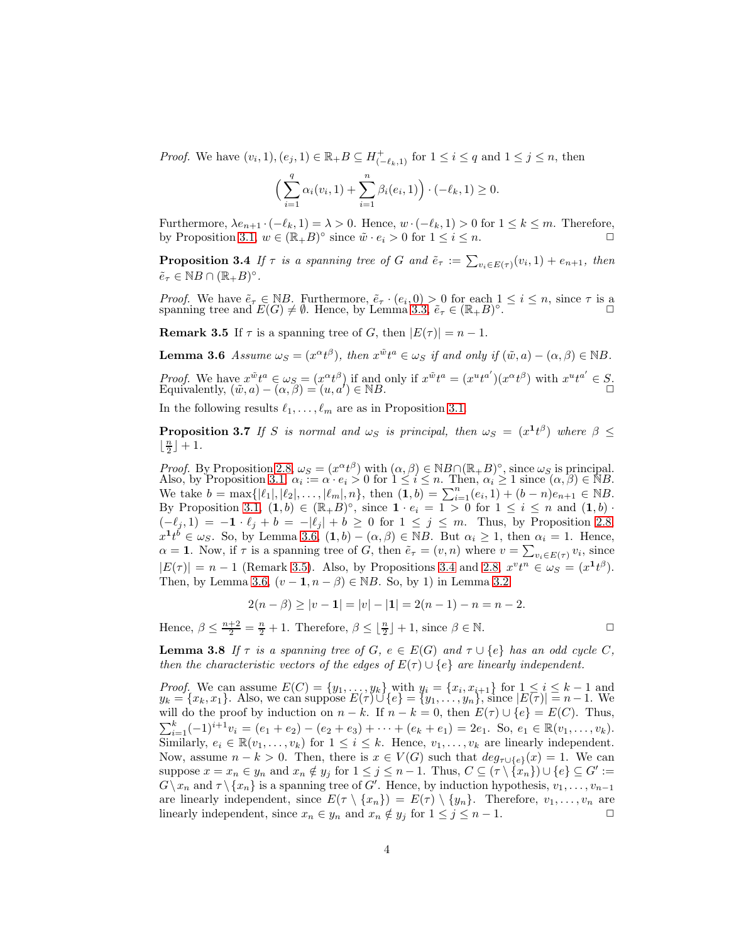*Proof.* We have  $(v_i, 1), (e_j, 1) \in \mathbb{R}_+$   $B \subseteq H_{(-\ell_k, 1)}^+$  for  $1 \le i \le q$  and  $1 \le j \le n$ , then

$$
\left(\sum_{i=1}^q \alpha_i(v_i, 1) + \sum_{i=1}^n \beta_i(e_i, 1)\right) \cdot (-\ell_k, 1) \ge 0.
$$

<span id="page-3-2"></span>Furthermore,  $\lambda e_{n+1} \cdot (-\ell_k, 1) = \lambda > 0$ . Hence,  $w \cdot (-\ell_k, 1) > 0$  for  $1 \leq k \leq m$ . Therefore, by Proposition [3.1,](#page-2-0)  $w \in (\mathbb{R}_+ B)^\circ$  since  $\tilde{w} \cdot e_i > 0$  for  $1 \leq i \leq n$ .

**Proposition 3.4** If  $\tau$  is a spanning tree of G and  $\tilde{e}_{\tau} := \sum_{v_i \in E(\tau)} (v_i, 1) + e_{n+1}$ , then  $\tilde{e}_{\tau} \in \mathbb{N}B \cap (\mathbb{R}_{+}B)^{\circ}.$ 

<span id="page-3-1"></span>*Proof.* We have  $\tilde{e}_{\tau} \in \mathbb{N}B$ . Furthermore,  $\tilde{e}_{\tau} \cdot (e_i, 0) > 0$  for each  $1 \leq i \leq n$ , since  $\tau$  is a spanning tree and  $E(G) \neq \emptyset$ . Hence, by Lemma [3.3,](#page-2-1)  $\tilde{e}_{\tau} \in (\mathbb{R} \times B)^\circ$ .

<span id="page-3-0"></span>**Remark 3.5** If  $\tau$  is a spanning tree of G, then  $|E(\tau)| = n - 1$ .

**Lemma 3.6** Assume  $\omega_S = (x^{\alpha}t^{\beta})$ , then  $x^{\tilde{w}}t^a \in \omega_S$  if and only if  $(\tilde{w}, a) - (\alpha, \beta) \in \mathbb{N}B$ .

Proof. We have  $x^{\tilde{w}}t^a \in \omega_S = (x^{\alpha}t^{\beta})$  if and only if  $x^{\tilde{w}}t^a = (x^u t^{a'}) (x^{\alpha}t^{\beta})$  with  $x^u t^{a'} \in S$ .<br>Equivalently,  $(\tilde{w}, a) - (\alpha, \beta) = (u, a') \in \mathbb{N}B$ .

<span id="page-3-4"></span>In the following results  $\ell_1, \ldots, \ell_m$  are as in Proposition [3.1.](#page-2-0)

**Proposition 3.7** If S is normal and  $\omega_S$  is principal, then  $\omega_S = (x^{\mathbf{1}} t^{\beta})$  where  $\beta \leq$  $\lfloor \frac{n}{2} \rfloor + 1.$ 

*Proof.* By Proposition [2.8,](#page-1-1)  $\omega_S = (x^{\alpha}t^{\beta})$  with  $(\alpha, \beta) \in NB_n(\mathbb{R}_+B)^\circ$ , since  $\omega_S$  is principal. Also, by Proposition [3.1,](#page-2-0)  $\alpha_i \equiv \alpha \cdot e_i > 0$  for  $1 \leq i \leq n$ . Then,  $\alpha_i \geq 1$  since  $(\alpha, \beta) \in \mathbb{N}B$ . We take  $b = \max\{|\ell_1|, |\ell_2|, \ldots, |\ell_m|, n\}$ , then  $(1, b) = \sum_{i=1}^n (e_i, 1) + (b - n)e_{n+1} \in \mathbb{N}B$ . By Proposition [3.1,](#page-2-0)  $(1,b) \in (\mathbb{R}+B)^\circ$ , since  $1 \cdot e_i = 1 > 0$  for  $1 \le i \le n$  and  $(1,b) \cdot$  $(-\ell_j, 1) = -1 \cdot \ell_j + b = -|\ell_j| + b \ge 0$  for  $1 \le j \le m$ . Thus, by Proposition [2.8,](#page-1-1)  $x^1 t^b \in \omega_S$ . So, by Lemma [3.6,](#page-3-0)  $(1, b) - (\alpha, \beta) \in \mathbb{N}B$ . But  $\alpha_i \geq 1$ , then  $\alpha_i = 1$ . Hence,  $\alpha = 1$ . Now, if  $\tau$  is a spanning tree of G, then  $\tilde{e}_{\tau} = (v, n)$  where  $v = \sum_{v_i \in E(\tau)} v_i$ , since  $|E(\tau)| = n - 1$  (Remark [3.5\)](#page-3-1). Also, by Propositions [3.4](#page-3-2) and [2.8,](#page-1-1)  $x^v t^n \in \omega_s = (x^1 t^{\beta})$ . Then, by Lemma [3.6,](#page-3-0)  $(v - 1, n - \beta) \in NB$ . So, by 1) in Lemma [3.2](#page-2-2)

$$
2(n - \beta) \ge |v - 1| = |v| - |1| = 2(n - 1) - n = n - 2.
$$

<span id="page-3-3"></span>Hence,  $\beta \leq \frac{n+2}{2} = \frac{n}{2} + 1$ . Therefore,  $\beta \leq \lfloor \frac{n}{2} \rfloor + 1$ , since  $\beta \in \mathbb{N}$ .

**Lemma 3.8** If  $\tau$  is a spanning tree of G,  $e \in E(G)$  and  $\tau \cup \{e\}$  has an odd cycle C, then the characteristic vectors of the edges of  $E(\tau) \cup \{e\}$  are linearly independent.

<span id="page-3-5"></span>*Proof.* We can assume  $E(C) = \{y_1, \ldots, y_k\}$  with  $y_i = \{x_i, x_{i+1}\}$  for  $1 \leq i \leq k-1$  and  $y_k = \{x_k, x_1\}.$  Also, we can suppose  $E(\tau) \cup \{e\} = \{y_1, \ldots, y_n\},\$  since  $|E(\tau)| = n - 1.$  We will do the proof by induction on  $n - k$ . If  $n - k = 0$ , then  $E(\tau) \cup \{e\} = E(C)$ . Thus,  $\sum_{i=1}^{k}(-1)^{i+1}v_i = (e_1 + e_2) - (e_2 + e_3) + \cdots + (e_k + e_1) = 2e_1$ . So,  $e_1 \in \mathbb{R}(v_1, \ldots, v_k)$ . Similarly,  $e_i \in \mathbb{R}(v_1, \ldots, v_k)$  for  $1 \leq i \leq k$ . Hence,  $v_1, \ldots, v_k$  are linearly independent. Now, assume  $n - k > 0$ . Then, there is  $x \in V(G)$  such that  $deg_{\tau \cup \{e\}}(x) = 1$ . We can suppose  $x = x_n \in y_n$  and  $x_n \notin y_j$  for  $1 \leq j \leq n-1$ . Thus,  $C \subseteq (\tau \setminus {\{x_n\}}) \cup \{e\} \subseteq G' :=$  $G \setminus x_n$  and  $\tau \setminus \{x_n\}$  is a spanning tree of G'. Hence, by induction hypothesis,  $v_1, \ldots, v_{n-1}$ are linearly independent, since  $E(\tau \setminus \{x_n\}) = E(\tau) \setminus \{y_n\}$ . Therefore,  $v_1, \ldots, v_n$  are linearly independent, since  $x_n \in y_n$  and  $x_n \notin y_j$  for  $1 \leq j \leq n-1$ .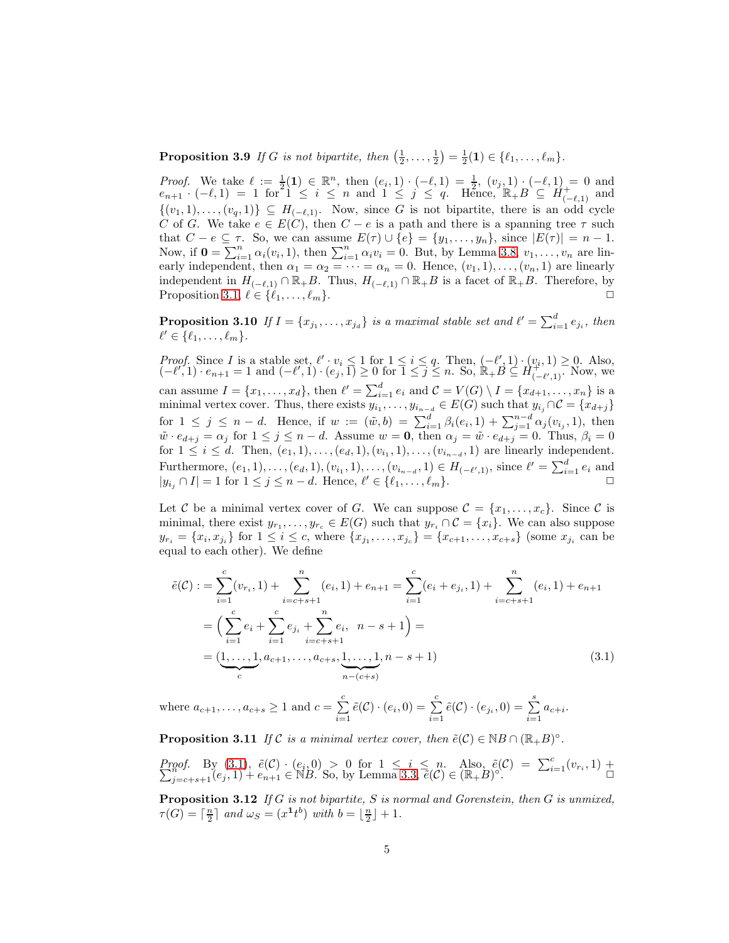**Proposition 3.9** If G is not bipartite, then  $(\frac{1}{2}, \ldots, \frac{1}{2}) = \frac{1}{2}(1) \in \{\ell_1, \ldots, \ell_m\}.$ 

*Proof.* We take  $\ell := \frac{1}{2}(1) \in \mathbb{R}^n$ , then  $(e_i, 1) \cdot (-\ell, 1) = \frac{1}{2}$ ,  $(v_j, 1) \cdot (-\ell, 1) = 0$  and  $e_{n+1} \cdot (-\ell, 1) = 1$  for  $1 \leq i \leq n$  and  $1 \leq j \leq q$ . Hence,  $\mathbb{R}_+ B \subseteq H_{(-\ell, 1)}^+$  and  $\{(v_1, 1), \ldots, (v_q, 1)\} \subseteq H_{(-\ell, 1)}$ . Now, since G is not bipartite, there is an odd cycle C of G. We take  $e \in E(C)$ , then  $C - e$  is a path and there is a spanning tree  $\tau$  such that  $C - e \subseteq \tau$ . So, we can assume  $E(\tau) \cup \{e\} = \{y_1, \ldots, y_n\}$ , since  $|E(\tau)| = n - 1$ . Now, if  $\mathbf{0} = \sum_{i=1}^n \alpha_i(v_i, 1)$ , then  $\sum_{i=1}^n \alpha_i v_i = 0$ . But, by Lemma [3.8,](#page-3-3)  $v_1, \ldots, v_n$  are linearly independent, then  $\alpha_1 = \alpha_2 = \cdots = \alpha_n = 0$ . Hence,  $(v_1, 1), \ldots, (v_n, 1)$  are linearly independent in  $H_{(-\ell,1)} \cap \mathbb{R}_+ B$ . Thus,  $H_{(-\ell,1)} \cap \mathbb{R}_+ B$  is a facet of  $\mathbb{R}_+ B$ . Therefore, by Proposition [3.1,](#page-2-0)  $\ell \in \{\ell_1, \ldots, \ell_m\}.$ 

<span id="page-4-2"></span>**Proposition 3.10** If  $I = \{x_{j_1}, \ldots, x_{j_d}\}$  is a maximal stable set and  $\ell' = \sum_{i=1}^d e_{j_i}$ , then  $\ell' \in \{\ell_1,\ldots,\ell_m\}.$ 

Proof. Since I is a stable set,  $\ell' : v_i \leq 1$  for  $1 \leq i \leq q$ . Then,  $(-\ell'_1, 1) : (v_i, 1) \geq 0$ . Also,  $(-\ell', 1) \cdot e_{n+1} = 1$  and  $(-\ell', 1) \cdot (e_j', 1) \ge 0$  for  $\overline{1} \le \overline{j} \le n$ . So,  $\mathbb{R}_+ B \subseteq H_{(-\ell', 1)}^{(i, 1)}$ . Now, we can assume  $I = \{x_1, \ldots, x_d\}$ , then  $\ell' = \sum_{i=1}^d e_i$  and  $\mathcal{C} = V(G) \setminus I = \{x_{d+1}, \ldots, x_n\}$  is a minimal vertex cover. Thus, there exists  $y_{i_1}, \ldots, y_{i_{n-d}} \in E(G)$  such that  $y_{i_j} \cap C = \{x_{d+j}\}\$ for  $1 \leq j \leq n-d$ . Hence, if  $w := (\tilde{w}, b) = \sum_{i=1}^{d} \beta_i(e_i, 1) + \sum_{j=1}^{n-d} \alpha_j(v_{i_j}, 1)$ , then  $\tilde{w} \cdot e_{d+j} = \alpha_j$  for  $1 \leq j \leq n-d$ . Assume  $w = 0$ , then  $\alpha_j = \tilde{w} \cdot e_{d+j} = 0$ . Thus,  $\beta_i = 0$ for  $1 \le i \le d$ . Then,  $(e_1, 1), \ldots, (e_d, 1), (v_{i_1}, 1), \ldots, (v_{i_{n-d}}, 1)$  are linearly independent. Furthermore,  $(e_1, 1), \ldots, (e_d, 1), (v_{i_1}, 1), \ldots, (v_{i_{n-d}}, 1) \in H_{(-\ell', 1)}$ , since  $\ell' = \sum_{i=1}^d e_i$  and  $|y_{i_j} \cap I| = 1$  for  $1 \leq j \leq n - d$ . Hence,  $\ell' \in \{\ell_1, \ldots, \ell_m\}$ .

Let C be a minimal vertex cover of G. We can suppose  $\mathcal{C} = \{x_1, \ldots, x_c\}$ . Since C is minimal, there exist  $y_{r_1}, \ldots, y_{r_c} \in E(G)$  such that  $y_{r_i} \cap C = \{x_i\}$ . We can also suppose  $y_{r_i} = \{x_i, x_{j_i}\}\text{ for }1 \leq i \leq c\text{, where }\{x_{j_1}, \ldots, x_{j_c}\} = \{x_{c+1}, \ldots, x_{c+s}\}\text{ (some }x_{j_i}\text{ can be})$ equal to each other). We define

<span id="page-4-0"></span>
$$
\tilde{e}(\mathcal{C}) := \sum_{i=1}^{c} (v_{r_i}, 1) + \sum_{i=c+s+1}^{n} (e_i, 1) + e_{n+1} = \sum_{i=1}^{c} (e_i + e_{j_i}, 1) + \sum_{i=c+s+1}^{n} (e_i, 1) + e_{n+1}
$$

$$
= \left( \sum_{i=1}^{c} e_i + \sum_{i=1}^{c} e_{j_i} + \sum_{i=c+s+1}^{n} e_i, \ n-s+1 \right) =
$$

$$
= \underbrace{(1, \ldots, 1}_{c}, a_{c+1}, \ldots, a_{c+s}, \underbrace{1, \ldots, 1}_{n-(c+s)}, n-s+1)
$$
\n(3.1)

<span id="page-4-1"></span>where  $a_{c+1}, \ldots, a_{c+s} \geq 1$  and  $c = \sum_{i=1}^{c}$  $\sum_{i=1}^{c} \tilde{e}(\mathcal{C}) \cdot (e_i, 0) = \sum_{i=1}^{c}$  $\sum_{i=1}^{c} \tilde{e}(\mathcal{C}) \cdot (e_{j_i}, 0) = \sum_{i=1}^{s}$  $\sum_{i=1} a_{c+i}.$ 

**Proposition 3.11** If C is a minimal vertex cover, then  $\tilde{e}(\mathcal{C}) \in \mathbb{N}B \cap (\mathbb{R}_+B)^\circ$ .

<span id="page-4-3"></span>*Proof.* By [\(3.1\)](#page-4-0),  $\tilde{e}(\mathcal{C}) \cdot (e_i, 0) > 0$  for  $1 \leq i \leq n$ . Also,  $\tilde{e}(\mathcal{C}) = \sum_{i=1}^{c} (v_{r_i}, 1) + \sum_{j=c+s+1}^{n} (e_j, 1) + e_{n+1} \in \mathbb{N}B$ . So, by Lemma [3.3,](#page-2-1)  $\tilde{e}(\mathcal{C}) \in (\mathbb{R} + B)^\circ$ .

**Proposition 3.12** If G is not bipartite, S is normal and Gorenstein, then G is unmixed,  $\tau(G) = \lceil \frac{n}{2} \rceil$  and  $\omega_S = (x^{\mathbf{1}}t^b)$  with  $b = \lfloor \frac{n}{2} \rfloor + 1$ .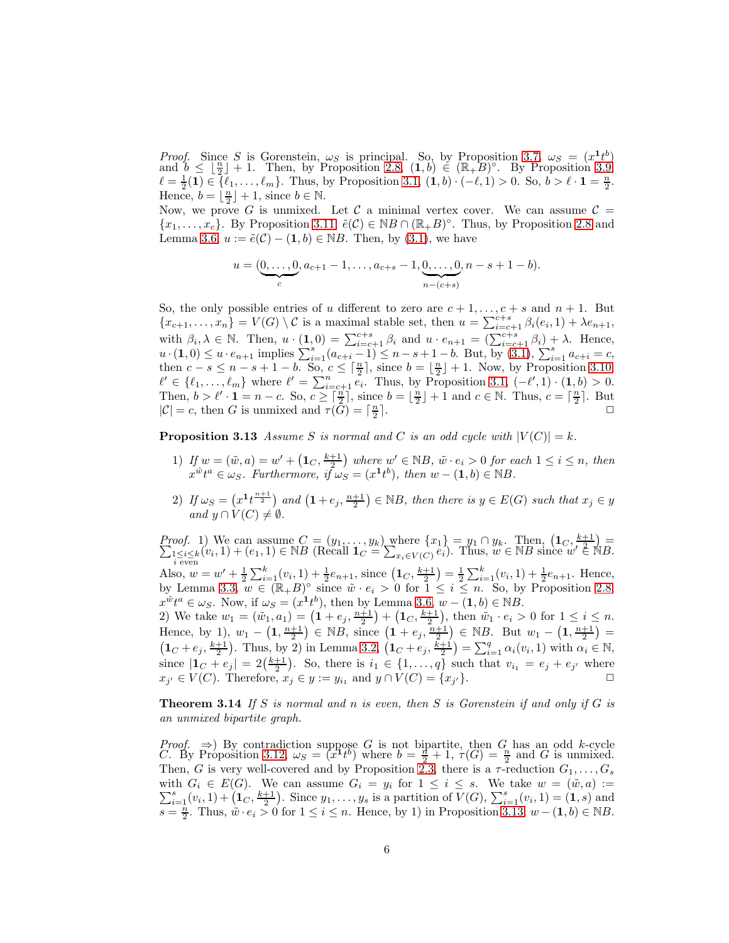*Proof.* Since S is Gorenstein,  $\omega_S$  is principal. So, by Proposition [3.7,](#page-3-4)  $\omega_S = (x^1 t^b)$  and  $b \leq \lfloor \frac{n}{2} \rfloor + 1$ . Then, by Proposition [2.8,](#page-1-1)  $(1, b) \in (\mathbb{R}_+ B)^\circ$ . By Proposition [3.9,](#page-3-5)  $\ell = \frac{1}{2}(1) \in \{ \ell_1, \ldots, \ell_m \}.$  Thus, by Proposition [3.1,](#page-2-0)  $(1, b) \cdot (-\ell, 1) > 0.$  So,  $b > \ell \cdot 1 = \frac{n}{2}$ . Hence,  $b = \lfloor \frac{n}{2} \rfloor + 1$ , since  $b \in \mathbb{N}$ .

Now, we prove G is unmixed. Let C a minimal vertex cover. We can assume  $\mathcal{C} =$  $\{x_1,\ldots,x_c\}$ . By Proposition [3.11,](#page-4-1)  $\tilde{e}(\mathcal{C}) \in NB \cap (\mathbb{R}_+ B)^\circ$ . Thus, by Proposition [2.8](#page-1-1) and Lemma [3.6,](#page-3-0)  $u := \tilde{e}(\mathcal{C}) - (1, b) \in NB$ . Then, by [\(3.1\)](#page-4-0), we have

$$
u = (\underbrace{0, \ldots, 0}_{c}, a_{c+1} - 1, \ldots, a_{c+s} - 1, \underbrace{0, \ldots, 0}_{n-(c+s)}, n-s+1-b).
$$

So, the only possible entries of u different to zero are  $c + 1, \ldots, c + s$  and  $n + 1$ . But  ${x_{c+1},...,x_n}=V(G)\setminus\mathcal{C}$  is a maximal stable set, then  $u=\sum_{i=c+1}^{c+s} \beta_i(e_i,1)+\lambda e_{n+1}$ , with  $\beta_i, \lambda \in \mathbb{N}$ . Then,  $u \cdot (1,0) = \sum_{i=c+1}^{c+s} \beta_i$  and  $u \cdot e_{n+1} = (\sum_{i=c+1}^{c+s} \beta_i) + \lambda$ . Hence,  $u \cdot (1,0) \leq u \cdot e_{n+1}$  implies  $\sum_{i=1}^{s} (a_{c+i}-1) \leq n-s+1-b$ . But, by  $(3.1)$ ,  $\sum_{i=1}^{s} a_{c+i}=c$ , then  $c - s \leq n - s + 1 - b$ . So,  $c \leq \lceil \frac{n}{2} \rceil$ , since  $b = \lfloor \frac{n}{2} \rfloor + 1$ . Now, by Proposition [3.10,](#page-4-2)  $\ell' \in \{\ell_1,\ldots,\ell_m\}$  where  $\ell' = \sum_{i=c+1}^n e_i$ . Thus, by Proposition [3.1,](#page-2-0)  $(-\ell',1) \cdot (1,b) > 0$ . Then,  $b > l' \cdot \mathbf{1} = n - c$ . So,  $c \geq \lceil \frac{n}{2} \rceil$ , since  $b = \lfloor \frac{n}{2} \rfloor + 1$  and  $c \in \mathbb{N}$ . Thus,  $c = \lceil \frac{n}{2} \rceil$ . But  $|C| = c$ , then G is unmixed and  $\tau(G) = \lceil \frac{n}{2} \rceil$ .  $|\mathcal{C}| = c$ , then G is unmixed and  $\tau(G) = \lceil \frac{n}{2} \rceil$ 

<span id="page-5-0"></span>**Proposition 3.13** Assume S is normal and C is an odd cycle with  $|V(C)| = k$ .

- 1) If  $w = (\tilde{w}, a) = w' + (1_C, \frac{k+1}{2})$  where  $w' \in NB$ ,  $\tilde{w} \cdot e_i > 0$  for each  $1 \le i \le n$ , then  $x^{\tilde{w}}t^a \in \omega_S$ . Furthermore,  $i\tilde{f}\omega'_S = (x^{\mathbf{1}}t^b)$ , then  $w - (\mathbf{1}, b) \in \mathbb{N}B$ .
- 2) If  $\omega_S = \left(x^1 t^{\frac{n+1}{2}}\right)$  and  $\left(1 + e_j, \frac{n+1}{2}\right) \in NB$ , then there is  $y \in E(G)$  such that  $x_j \in y$ and  $y \cap V(C) \neq \emptyset$ .

*Proof.* 1) We can assume  $C = (y_1, \ldots, y_k)$  where  $\{x_1\} = y_1 \cap y_k$ . Then,  $(1_C, \frac{k+1}{2}) = \sum_{1 \le i \le k} (v_i, 1) + (e_1, 1) \in \mathbb{N}B$  (Recall  $1_C = \sum_{x_i \in V(C)} e_i$ ). Thus,  $w \in \mathbb{N}B$  since  $w' \in \mathbb{N}B$ . Also,  $w = w' + \frac{1}{2} \sum_{i=1}^{k} (v_i, 1) + \frac{1}{2} e_{n+1}$ , since  $(\mathbf{1}_C, \frac{k+1}{2}) = \frac{1}{2} \sum_{i=1}^{k} (v_i, 1) + \frac{1}{2} e_{n+1}$ . Hence, by Lemma [3.3,](#page-2-1)  $w \in (\mathbb{R} \# B)^{\circ}$  since  $\tilde{w} \cdot e_i > 0$  for  $1 \leq i \leq n$ . So, by Proposition [2.8,](#page-1-1)  $x^{\tilde{w}}t^a \in \omega_S$ . Now, if  $\omega_S = (x^{\tilde{1}}t^b)$ , then by Lemma [3.6,](#page-3-0)  $w - (\tilde{1}, b) \in \mathbb{N}B$ . 2) We take  $w_1 = (\tilde{w}_1, a_1) = (1 + e_j, \frac{n+1}{2}) + (1_C, \frac{k+1}{2}),$  then  $\tilde{w}_1 \cdot e_i > 0$  for  $1 \le i \le n$ . Hence, by 1),  $w_1 - \left(1, \frac{n+1}{2}\right) \in NB$ , since  $\left(1 + e_j, \frac{n+1}{2}\right) \in NB$ . But  $w_1 - \left(1, \frac{n+1}{2}\right) =$  $(1_C + e_j, \frac{k+1}{2})$ . Thus, by 2) in Lemma [3.2,](#page-2-2)  $(1_C + e_j, \frac{k+1}{2}) = \sum_{i=1}^q \alpha_i(v_i, 1)$  with  $\alpha_i \in \mathbb{N}$ ,

since  $|1_c + e_j| = 2(\frac{k+1}{2})$ . So, there is  $i_1 \in \{1, ..., q\}$  such that  $v_{i_1} = e_j + e_{j'}$  where  $x_{j'} \in V(C)$ . Therefore,  $x_j \in y := y_{i_1}$  and  $y \cap V(C) = \{x_j\}$  $\gamma$ }.

**Theorem 3.14** If S is normal and n is even, then S is Gorenstein if and only if G is an unmixed bipartite graph.

Proof.  $\Rightarrow$ ) By contradiction suppose G is not bipartite, then G has an odd k-cycle C. By Proposition [3.12,](#page-4-3)  $\omega_S = (x^1 t^b)$  where  $b = \frac{n}{2} + 1$ ,  $\tau(G) = \frac{n}{2}$  and G is unmixed. Then, G is very well-covered and by Proposition [2.3,](#page-1-2) there is a  $\tau$ -reduction  $G_1, \ldots, G_s$ with  $\sum$ th  $G_i \in E(G)$ . We can assume  $G_i = y_i$  for  $1 \leq i \leq s$ . We take  $w = (\tilde{w}, a) :=$ <br>  $S_{i=1}(v_i, 1) + (\mathbf{1}_C, \frac{k+1}{2})$ . Since  $y_1, \ldots, y_s$  is a partition of  $V(G)$ ,  $\sum_{i=1}^s (v_i, 1) = (\mathbf{1}, s)$  and  $s = \frac{\tilde{n}}{2}$ . Thus,  $\tilde{w} \cdot e_i > 0$  for  $1 \leq i \leq n$ . Hence, by 1) in Proposition [3.13,](#page-5-0)  $w - (1, b) \in \mathbb{N}$ B.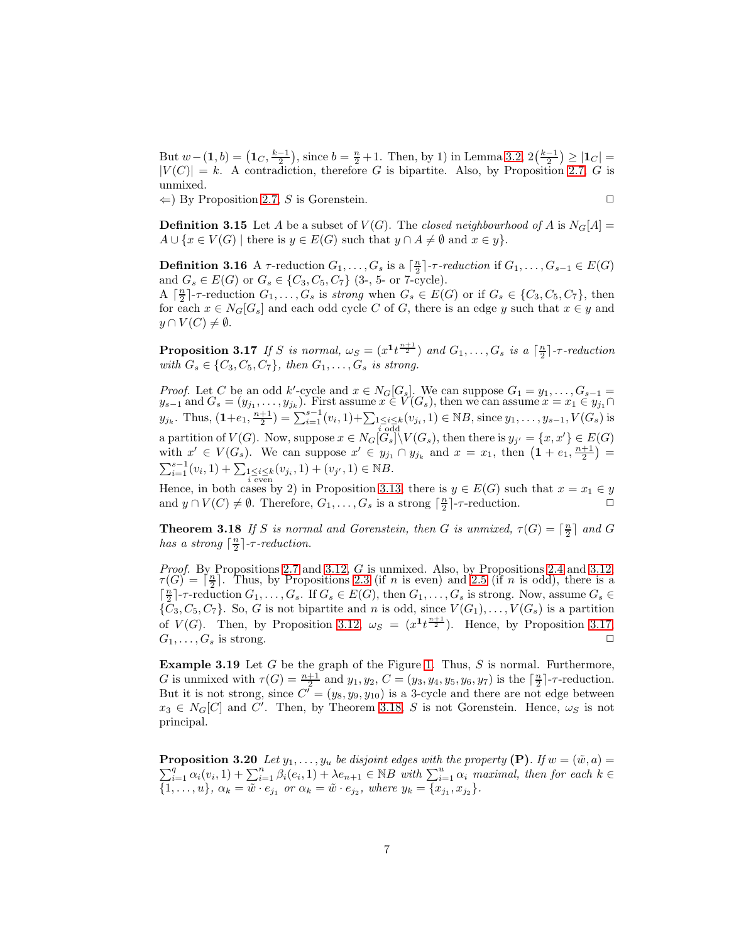But  $w-(1, b) = (1_C, \frac{k-1}{2}),$  since  $b = \frac{n}{2} + 1$ . Then, by 1) in Lemma [3.2,](#page-2-2)  $2(\frac{k-1}{2}) \ge |1_C|$  $|V(C)| = k$ . A contradiction, therefore G is bipartite. Also, by Proposition [2.7,](#page-1-3) G is unmixed.

 $\Leftarrow$ ) By Proposition [2.7,](#page-1-3) S is Gorenstein.

$$
\Box
$$

**Definition 3.15** Let A be a subset of  $V(G)$ . The closed neighbourhood of A is  $N_G[A]$  $A \cup \{x \in V(G) \mid \text{there is } y \in E(G) \text{ such that } y \cap A \neq \emptyset \text{ and } x \in y\}.$ 

<span id="page-6-0"></span>**Definition 3.16** A  $\tau$ -reduction  $G_1, \ldots, G_s$  is a  $\lceil \frac{n}{2} \rceil$ -*r*-reduction if  $G_1, \ldots, G_{s-1} \in E(G)$ and  $G_s \in E(G)$  or  $G_s \in \{C_3, C_5, C_7\}$  (3-, 5- or 7-cycle).

A  $\lceil \frac{n}{2} \rceil$ -r-reduction  $G_1, \ldots, G_s$  is strong when  $G_s \in E(G)$  or if  $G_s \in \{C_3, C_5, C_7\}$ , then for each  $x \in N_G[G_s]$  and each odd cycle C of G, there is an edge y such that  $x \in y$  and  $y \cap V(C) \neq \emptyset$ .

<span id="page-6-1"></span>**Proposition 3.17** If S is normal,  $\omega_S = (x^1 t^{\frac{n+1}{2}})$  and  $G_1, \ldots, G_s$  is a  $\lceil \frac{n}{2} \rceil$ -reduction with  $G_s \in \{C_3, C_5, C_7\}$ , then  $G_1, \ldots, G_s$  is strong.

*Proof.* Let C be an odd k'-cycle and  $x \in N_G[G_s]$ . We can suppose  $G_1 = y_1, \ldots, G_{s-1}$  $y_{s-1}$  and  $G_s = (y_{j_1}, \ldots, y_{j_k})$ . First assume  $x \in V(G_s)$ , then we can assume  $x = x_1 \in y_{j_1} \cap$  $y_{j_k}$ . Thus,  $(1+e_1, \frac{n+1}{2}) = \sum_{i=1}^{s-1} (v_i, 1) + \sum_{\substack{1 \le i \le k \\ i \text{ odd}}} (v_i, 1) \in \mathbb{N}B$ , since  $y_1, \ldots, y_{s-1}, V(G_s)$  is a partition of  $V(G)$ . Now, suppose  $x \in N_G[\widetilde{G_s}]\setminus V(G_s)$ , then there is  $y_{j'} = \{x, x'\} \in E(G)$ with  $x' \in V(G_s)$ . We can suppose  $x' \in y_{j_1} \cap y_{j_k}$  and  $x = x_1$ , then  $(1 + e_1, \frac{n+1}{2}) =$  $\sum_{i=1}^{s-1} (v_i, 1) + \sum_{\substack{1 \le i \le k \\ i \text{ even}}} (v_{j_i}, 1) + (v_{j'}, 1) \in \mathbb{N}B.$ 

<span id="page-6-2"></span>Hence, in both cases by 2) in Proposition [3.13,](#page-5-0) there is  $y \in E(G)$  such that  $x = x_1 \in y$ and  $y \cap V(C) \neq \emptyset$ . Therefore,  $G_1, \ldots, G_s$  is a strong  $\lceil \frac{n}{2} \rceil$ -r-reduction.

**Theorem 3.18** If S is normal and Gorenstein, then G is unmixed,  $\tau(G) = \lceil \frac{n}{2} \rceil$  and G has a strong  $\lceil \frac{n}{2} \rceil$ - $\tau$ -reduction.

*Proof.* By Propositions [2.7](#page-1-3) and [3.12,](#page-4-3) G is unmixed. Also, by Propositions [2.4](#page-1-4) and 3.12,  $\tau(G) = \lceil \frac{n}{2} \rceil$ . Thus, by Propositions [2.3](#page-1-2) (if n is even) and [2.5](#page-1-5) (if n is odd), there is a  $\lceil \frac{n}{2} \rceil$ - $\tau$ -reduction  $G_1, \ldots, G_s$ . If  $G_s \in E(G)$ , then  $G_1, \ldots, G_s$  is strong. Now, assume  $G_s \in$  ${\overline{C_3}, C_5, C_7}$ . So, G is not bipartite and n is odd, since  $V(G_1), \ldots, V(G_s)$  is a partition of  $V(G)$ . Then, by Proposition [3.12,](#page-4-3)  $\omega_S = (x^1 t^{\frac{n+1}{2}})$ . Hence, by Proposition [3.17,](#page-6-1)  $G_1, \ldots, G_s$  is strong.

**Example 3.19** Let  $G$  be the graph of the Figure [1.](#page-7-0) Thus,  $S$  is normal. Furthermore, G is unmixed with  $\tau(G) = \frac{n+1}{2}$  and  $y_1, y_2, C = (y_3, y_4, y_5, y_6, y_7)$  is the  $\lceil \frac{n}{2} \rceil$ -*r*-reduction. But it is not strong, since  $C' = (y_8, y_9, y_{10})$  is a 3-cycle and there are not edge between  $x_3 \in N_G[C]$  and C'. Then, by Theorem [3.18,](#page-6-2) S is not Gorenstein. Hence,  $\omega_S$  is not principal.

<span id="page-6-3"></span> $\sum_{i=1}^{q} \alpha_i(v_i, 1) + \sum_{i=1}^{n} \beta_i(e_i, 1) + \lambda e_{n+1} \in \mathbb{N}B$  with  $\sum_{i=1}^{u} \alpha_i$  maximal, then for each  $k \in \mathbb{N}$ **Proposition 3.20** Let  $y_1, \ldots, y_u$  be disjoint edges with the property  $(P)$ . If  $w = (\tilde{w}, a)$  $\{1, \ldots, u\}, \, \alpha_k = \tilde{w} \cdot e_{j_1} \text{ or } \alpha_k = \tilde{w} \cdot e_{j_2}, \text{ where } y_k = \{x_{j_1}, x_{j_2}\}.$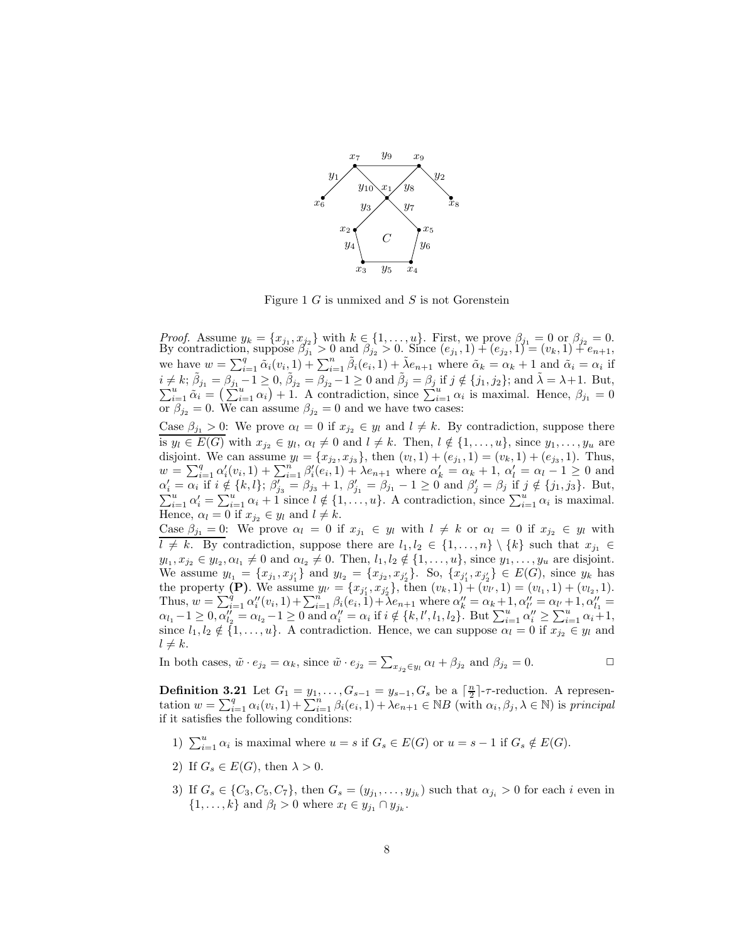

<span id="page-7-0"></span>Figure 1  $G$  is unmixed and  $S$  is not Gorenstein

*Proof.* Assume  $y_k = \{x_{j_1}, x_{j_2}\}$  with  $k \in \{1, \ldots, u\}$ . First, we prove  $\beta_{j_1} = 0$  or  $\beta_{j_2} = 0$ . By contradiction, suppose  $\beta_{j_1}^2 > 0$  and  $\beta_{j_2} > 0$ . Since  $(e_{j_1}, 1) + (e_{j_2}, 1) = (v_k, 1) + e_{n+1}$ , we have  $w = \sum_{i=1}^q \tilde{\alpha}_i(v_i, 1) + \sum_{i=1}^n \tilde{\beta}_i(e_i, 1) + \tilde{\lambda}e_{n+1}$  where  $\tilde{\alpha}_k = \alpha_k + 1$  and  $\tilde{\alpha}_i = \alpha_i$  if  $i \neq k$ ;  $\tilde{\beta}_{j_1} = \beta_{j_1} - 1 \geq 0$ ,  $\tilde{\beta}_{j_2} = \beta_{j_2} - 1 \geq 0$  and  $\tilde{\beta}_j = \beta_j$  if  $j \notin \{j_1, j_2\}$ ; and  $\tilde{\lambda} = \lambda + 1$ . But,  $\sum_{i=1}^u \tilde{\alpha}_i = \left(\sum_{i=1}^u \alpha_i\right) + 1$ . A contradiction, since  $\sum_{i=1}^u \alpha_i$  is maximal or  $\beta_{j_2} = 0$ . We can assume  $\beta_{j_2} = 0$  and we have two cases:

Case  $\beta_{j_1} > 0$ : We prove  $\alpha_l = 0$  if  $x_{j_2} \in y_l$  and  $l \neq k$ . By contradiction, suppose there is  $y_l \in E(G)$  with  $x_{j_2} \in y_l$ ,  $\alpha_l \neq 0$  and  $l \neq k$ . Then,  $l \notin \{1, \ldots, u\}$ , since  $y_1, \ldots, y_u$  are disjoint. We can assume  $y_l = \{x_{j_2}, x_{j_3}\}\$ , then  $(v_l, 1) + (e_{j_1}, 1) = (v_k, 1) + (e_{j_3}, 1)$ . Thus,  $w = \sum_{i=1}^{q} \alpha'_i(v_i, 1) + \sum_{i=1}^{n} \beta'_i(e_i, 1) + \lambda e_{n+1}$  where  $\alpha'_k = \alpha_k + 1$ ,  $\alpha'_l = \alpha_l - 1 \geq 0$  and  $\alpha'_i = \alpha_i \text{ if } i \notin \{k, l\}; \ \beta'_{j_3} = \beta_{j_3} + 1, \ \beta'_{j_1} = \beta_{j_1} - 1 \geq 0 \text{ and } \beta'_{j} = \beta_{j} \text{ if } j \notin \{j_1, j_3\}. \text{ But,}$  $\sum_{i=1}^{u} \alpha'_i = \sum_{i=1}^{u} \alpha_i + 1$  since  $l \notin \{1, \ldots, u\}$ . A contradiction, since  $\sum_{i=1}^{u} \alpha_i$  is maximal. Hence,  $\alpha_l = 0$  if  $x_{j_2} \in y_l$  and  $l \neq k$ .

Case  $\beta_{j_1} = 0$ : We prove  $\alpha_l = 0$  if  $x_{j_1} \in y_l$  with  $l \neq k$  or  $\alpha_l = 0$  if  $x_{j_2} \in y_l$  with  $l \neq k$ . By contradiction, suppose there are  $l_1, l_2 \in \{1, ..., n\} \setminus \{k\}$  such that  $x_{j_1} \in$  $y_{l_1}, x_{j_2} \in y_{l_2}, \alpha_{l_1} \neq 0$  and  $\alpha_{l_2} \neq 0$ . Then,  $l_1, l_2 \notin \{1, \ldots, u\}$ , since  $y_1, \ldots, y_u$  are disjoint. We assume  $y_{l_1} = \{x_{j_1}, x_{j'_1}\}\$  and  $y_{l_2} = \{x_{j_2}, x_{j'_2}\}\$ . So,  $\{x_{j'_1}, x_{j'_2}\}\in E(G)$ , since  $y_k$  has the property (P). We assume  $y_{l'} = \{x_{j'_1}, x_{j'_2}\}$ , then  $(v_k, 1) + (v_{l'}, 1) = (v_{l_1}, 1) + (v_{l_2}, 1)$ . Thus,  $w = \sum_{i=1}^{q} \alpha''_i(v_i, 1) + \sum_{i=1}^{n} \beta_i(e_i, 1) + \lambda e_{n+1}$  where  $\alpha''_k = \alpha_k + 1, \alpha''_l = \alpha_{l'} + 1, \alpha''_{l_1} =$  $\alpha_{l_1}-1 \geq 0, \alpha''_{l_2}=\alpha_{l_2}-1 \geq 0 \text{ and } \alpha''_{l}=\alpha_i \text{ if } i \notin \{k, l', l_1, l_2\}. \text{ But } \sum_{i=1}^u \alpha''_i \geq \sum_{i=1}^u \alpha_i+1,$ since  $l_1, l_2 \notin \{1, \ldots, u\}$ . A contradiction. Hence, we can suppose  $\alpha_l = 0$  if  $x_{j_2} \in y_l$  and  $l \neq k$ .

In both cases,  $\tilde{w} \cdot e_{j_2} = \alpha_k$ , since  $\tilde{w} \cdot e_{j_2} = \sum_{x_{j_2} \in y_l} \alpha_l + \beta_{j_2}$  and  $\beta_{j_2} = 0$ .

**Definition 3.21** Let  $G_1 = y_1, \ldots, G_{s-1} = y_{s-1}, G_s$  be a  $\lceil \frac{n}{2} \rceil$ -reduction. A representation  $w = \sum_{i=1}^q \alpha_i(v_i, 1) + \sum_{i=1}^n \beta_i(e_i, 1) + \lambda e_{n+1} \in NB$  (with  $\alpha_i, \beta_j, \lambda \in \mathbb{N}$ ) is principal if it satisfies the following conditions:

- 1)  $\sum_{i=1}^{u} \alpha_i$  is maximal where  $u = s$  if  $G_s \in E(G)$  or  $u = s 1$  if  $G_s \notin E(G)$ .
- 2) If  $G_s \in E(G)$ , then  $\lambda > 0$ .
- <span id="page-7-1"></span>3) If  $G_s \in \{C_3, C_5, C_7\}$ , then  $G_s = (y_{j_1}, \ldots, y_{j_k})$  such that  $\alpha_{j_i} > 0$  for each i even in  $\{1,\ldots,k\}$  and  $\beta_l > 0$  where  $x_l \in y_{j_1} \cap y_{j_k}$ .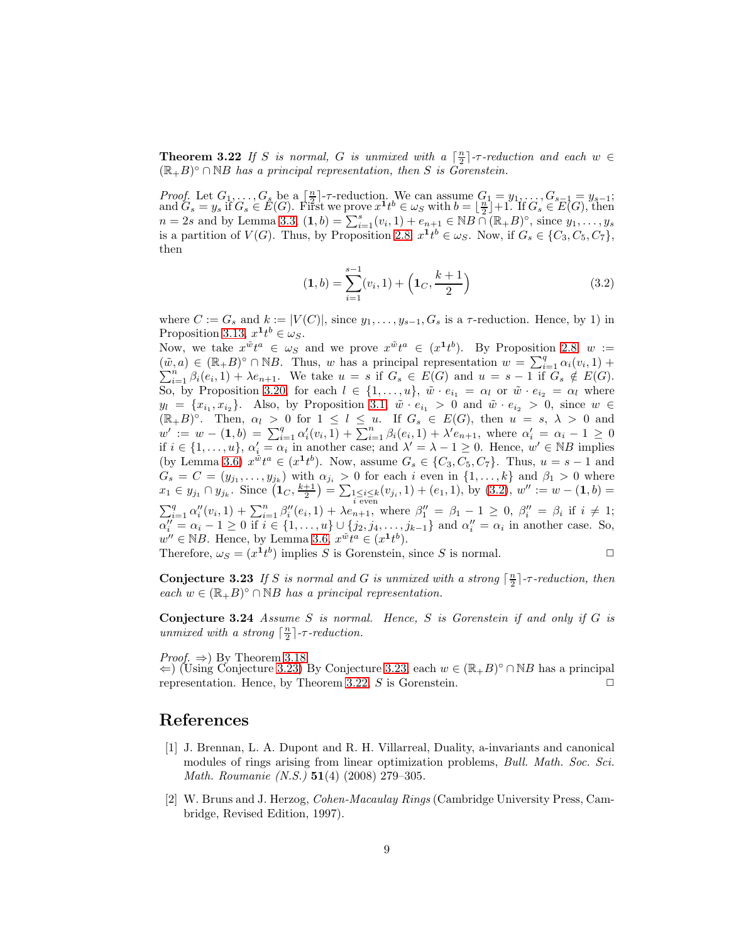**Theorem 3.22** If S is normal, G is unmixed with a  $\lceil \frac{n}{2} \rceil$ -r-reduction and each  $w \in$  $(\mathbb{R}_{+}B)^{\circ} \cap \mathbb{N}B$  has a principal representation, then S is Government

Proof. Let  $G_1, \ldots, G_s$  be a  $\left[\frac{n}{2}\right]$ - $\tau$ -reduction. We can assume  $G_1 = y_1, \ldots, G_{s-1} = y_{s-1};$ and  $G_s = y_s$  if  $G_s \in E(G)$ . First we prove  $x^1 t^b \in \omega_S$  with  $b = \lfloor \frac{n}{2} \rfloor + 1$ . If  $G_s \in E(G)$ , then  $n = 2s$  and by Lemma [3.3,](#page-2-1)  $(1, b) = \sum_{i=1}^{s} (v_i, 1) + e_{n+1} \in NB \cap (\mathbb{R}_+ B)^\circ$ , since  $y_1, \ldots, y_s$ is a partition of  $V(G)$ . Thus, by Proposition [2.8,](#page-1-1)  $x^{\mathbf{1}}t^b \in \omega_S$ . Now, if  $G_s \in \{C_3, C_5, C_7\}$ , then

<span id="page-8-1"></span>
$$
(\mathbf{1},b) = \sum_{i=1}^{s-1} (v_i,1) + \left(\mathbf{1}_C, \frac{k+1}{2}\right) \tag{3.2}
$$

where  $C := G_s$  and  $k := |V(C)|$ , since  $y_1, \ldots, y_{s-1}, G_s$  is a  $\tau$ -reduction. Hence, by 1) in Proposition [3.13,](#page-5-0)  $x^{\mathbf{1}}t^b \in \omega_S$ .

Now, we take  $x^{\tilde{w}}t^a \in \omega_S$  and we prove  $x^{\tilde{w}}t^a \in (x^{\mathbf{1}}t^b)$ . By Proposition [2.8,](#page-1-1)  $w :=$  $(\tilde{w}, a) \in (\mathbb{R} + B)^\circ \cap \mathbb{N}B$ . Thus, w has a principal representation  $w = \sum_{i=1}^q \alpha_i (v_i)$  $(\tilde{w}, a) \in (\mathbb{R} + B)^{\circ} \cap \mathbb{N}B$ . Thus, w has a principal representation  $w = \sum_{i=1}^{q} \alpha_i (v_i, 1) + \sum_{i=1}^{n} \beta_i (e_i, 1) + \lambda e_{n+1}$ . We take  $u = s$  if  $G_s \in E(G)$  and  $u = s - 1$  if  $G_s \notin E(G)$ . So, by Proposition [3.20,](#page-6-3) for each  $l \in \{1, \ldots, u\}$ ,  $\tilde{w} \cdot e_{i_1} = \alpha_l$  or  $\tilde{w} \cdot e_{i_2} = \alpha_l$  where  $y_l = \{x_{i_1}, x_{i_2}\}.$  Also, by Proposition [3.1,](#page-2-0)  $\tilde{w} \cdot e_{i_1} > 0$  and  $\tilde{w} \cdot e_{i_2} > 0$ , since  $w \in$  $(\mathbb{R}_+ B)^\circ$ . Then,  $\alpha_l > 0$  for  $1 \leq l \leq u$ . If  $G_s \in E(G)$ , then  $u = s, \lambda > 0$  and  $w' := w - (1, b) = \sum_{i=1}^{q} \alpha'_i(v_i, 1) + \sum_{i=1}^{n} \beta_i(e_i, 1) + \lambda' e_{n+1}$ , where  $\alpha'_i = \alpha_i - 1 \geq 0$ if  $i \in \{1, \ldots, u\}$ ,  $\alpha'_i = \alpha_i$  in another case; and  $\lambda' = \lambda - 1 \geq 0$ . Hence,  $w' \in \mathbb{N}B$  implies (by Lemma [3.6\)](#page-3-0)  $x^{\tilde{w}}t^a \in (x^{\mathbf{1}}t^b)$ . Now, assume  $G_s \in \{C_3, C_5, C_7\}$ . Thus,  $u = s - 1$  and  $G_s = C = (y_{j_1}, \ldots, y_{j_k})$  with  $\alpha_{j_i} > 0$  for each i even in  $\{1, \ldots, k\}$  and  $\beta_1 > 0$  where  $x_1 \in y_{j_1} \cap y_{j_k}$ . Since  $(\mathbf{1}_C, \frac{k+1}{2}) = \sum_{\substack{1 \le i \le k \\ i \text{ even}}} (v_{j_i}, 1) + (e_1, 1)$ , by  $(3.2)$ ,  $w'' := w - (\mathbf{1}, b) =$  $\sum_{i=1}^q \alpha''_i(v_i,1) + \sum_{i=1}^n \beta''_i(e_i,1) + \lambda e_{n+1}^{\text{even}}, \text{ where } \beta''_1 = \beta_1 - 1 \geq 0, \ \beta''_i = \beta_i \text{ if } i \neq 1;$  $\alpha''_i = \alpha_i - 1 \geq 0$  if  $i \in \{1, \ldots, u\} \cup \{j_2, j_4, \ldots, j_{k-1}\}$  and  $\alpha''_i = \alpha_i$  in another case. So,  $w'' \in \mathbb{N}B$ . Hence, by Lemma [3.6,](#page-3-0)  $x^{\tilde{w}}t^{\tilde{a}} \in (x^{\mathbf{1}}t^{\tilde{b}})$ .

<span id="page-8-2"></span>Therefore,  $\omega_S = (x^{\mathbf{1}} t^b)$  implies S is Gorenstein, since S is normal.

**Conjecture 3.23** If S is normal and G is unmixed with a strong  $\lceil \frac{n}{2} \rceil$ -r-reduction, then each  $w \in (\mathbb{R} + B)^{\circ} \cap \mathbb{N}B$  has a principal representation.

Conjecture 3.24 Assume S is normal. Hence, S is Gorenstein if and only if G is unmixed with a strong  $\lceil \frac{n}{2} \rceil$ - $\tau$ -reduction.

*Proof.*  $\Rightarrow$ ) By Theorem [3.18.](#page-6-2)

 $\Leftarrow$ ) (Using Conjecture [3.23\)](#page-8-2) By Conjecture [3.23,](#page-8-2) each  $w \in (\mathbb{R} \# B)^\circ \cap \mathbb{N}B$  has a principal representation. Hence, by Theorem [3.22,](#page-7-1) S is Gorenstein.  $\square$ 

### References

- [1] J. Brennan, L. A. Dupont and R. H. Villarreal, Duality, a-invariants and canonical modules of rings arising from linear optimization problems, *Bull. Math. Soc. Sci.* Math. Roumanie  $(N.S.)$  51(4) (2008) 279-305.
- <span id="page-8-0"></span>[2] W. Bruns and J. Herzog, Cohen-Macaulay Rings (Cambridge University Press, Cambridge, Revised Edition, 1997).